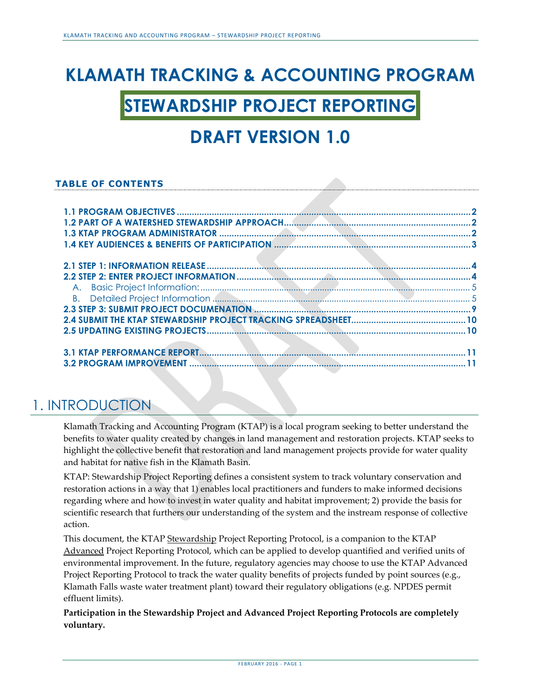# **KLAMATH TRACKING & ACCOUNTING PROGRAM**

## **STEWARDSHIP PROJECT REPORTING**

## **DRAFT VERSION 1.0**

#### **TABLE OF CONTENTS**

### 1. INTRODUCTION

Klamath Tracking and Accounting Program (KTAP) is a local program seeking to better understand the benefits to water quality created by changes in land management and restoration projects. KTAP seeks to highlight the collective benefit that restoration and land management projects provide for water quality and habitat for native fish in the Klamath Basin.

KTAP: Stewardship Project Reporting defines a consistent system to track voluntary conservation and restoration actions in a way that 1) enables local practitioners and funders to make informed decisions regarding where and how to invest in water quality and habitat improvement; 2) provide the basis for scientific research that furthers our understanding of the system and the instream response of collective action.

This document, the KTAP Stewardship Project Reporting Protocol, is a companion to the KTAP Advanced Project Reporting Protocol, which can be applied to develop quantified and verified units of environmental improvement. In the future, regulatory agencies may choose to use the KTAP Advanced Project Reporting Protocol to track the water quality benefits of projects funded by point sources (e.g., Klamath Falls waste water treatment plant) toward their regulatory obligations (e.g. NPDES permit effluent limits).

**Participation in the Stewardship Project and Advanced Project Reporting Protocols are completely voluntary.**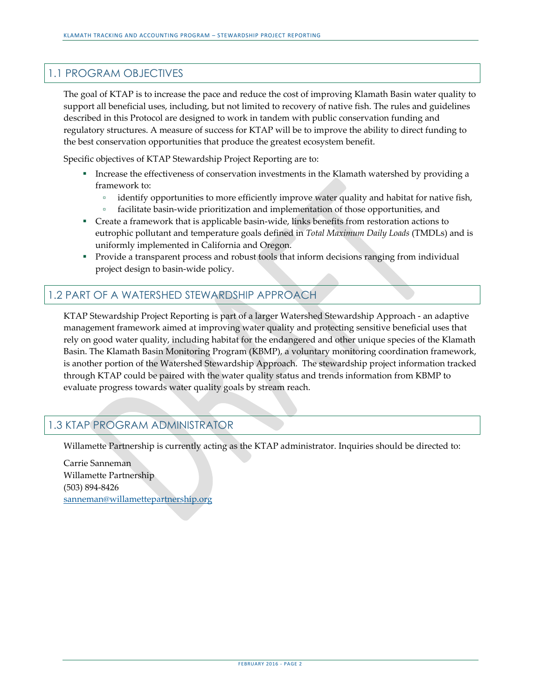#### <span id="page-1-0"></span>1.1 PROGRAM OBJECTIVES

The goal of KTAP is to increase the pace and reduce the cost of improving Klamath Basin water quality to support all beneficial uses, including, but not limited to recovery of native fish. The rules and guidelines described in this Protocol are designed to work in tandem with public conservation funding and regulatory structures. A measure of success for KTAP will be to improve the ability to direct funding to the best conservation opportunities that produce the greatest ecosystem benefit.

Specific objectives of KTAP Stewardship Project Reporting are to:

- Increase the effectiveness of conservation investments in the Klamath watershed by providing a framework to:
	- □ identify opportunities to more efficiently improve water quality and habitat for native fish,
	- facilitate basin-wide prioritization and implementation of those opportunities, and
- Create a framework that is applicable basin-wide, links benefits from restoration actions to eutrophic pollutant and temperature goals defined in *Total Maximum Daily Loads* (TMDLs) and is uniformly implemented in California and Oregon.
- **Provide a transparent process and robust tools that inform decisions ranging from individual** project design to basin-wide policy.

#### <span id="page-1-1"></span>1.2 PART OF A WATERSHED STEWARDSHIP APPROACH

KTAP Stewardship Project Reporting is part of a larger Watershed Stewardship Approach - an adaptive management framework aimed at improving water quality and protecting sensitive beneficial uses that rely on good water quality, including habitat for the endangered and other unique species of the Klamath Basin. The Klamath Basin Monitoring Program (KBMP), a voluntary monitoring coordination framework, is another portion of the Watershed Stewardship Approach. The stewardship project information tracked through KTAP could be paired with the water quality status and trends information from KBMP to evaluate progress towards water quality goals by stream reach.

#### <span id="page-1-2"></span>1.3 KTAP PROGRAM ADMINISTRATOR

Willamette Partnership is currently acting as the KTAP administrator. Inquiries should be directed to:

Carrie Sanneman Willamette Partnership (503) 894-8426 [sanneman@willamettepartnership.org](mailto:sanneman@willamettepartnership.org)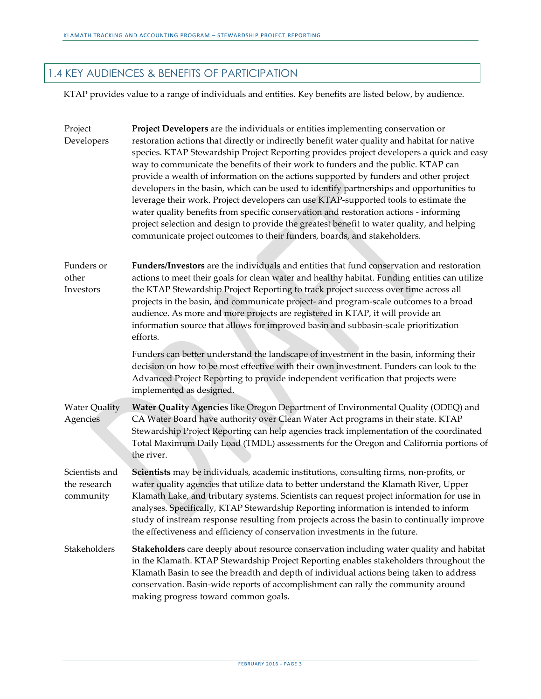#### <span id="page-2-0"></span>1.4 KEY AUDIENCES & BENEFITS OF PARTICIPATION

KTAP provides value to a range of individuals and entities. Key benefits are listed below, by audience.

| Project<br>Developers                       | Project Developers are the individuals or entities implementing conservation or<br>restoration actions that directly or indirectly benefit water quality and habitat for native<br>species. KTAP Stewardship Project Reporting provides project developers a quick and easy<br>way to communicate the benefits of their work to funders and the public. KTAP can<br>provide a wealth of information on the actions supported by funders and other project<br>developers in the basin, which can be used to identify partnerships and opportunities to<br>leverage their work. Project developers can use KTAP-supported tools to estimate the<br>water quality benefits from specific conservation and restoration actions - informing<br>project selection and design to provide the greatest benefit to water quality, and helping<br>communicate project outcomes to their funders, boards, and stakeholders. |
|---------------------------------------------|------------------------------------------------------------------------------------------------------------------------------------------------------------------------------------------------------------------------------------------------------------------------------------------------------------------------------------------------------------------------------------------------------------------------------------------------------------------------------------------------------------------------------------------------------------------------------------------------------------------------------------------------------------------------------------------------------------------------------------------------------------------------------------------------------------------------------------------------------------------------------------------------------------------|
| Funders or<br>other<br>Investors            | Funders/Investors are the individuals and entities that fund conservation and restoration<br>actions to meet their goals for clean water and healthy habitat. Funding entities can utilize<br>the KTAP Stewardship Project Reporting to track project success over time across all<br>projects in the basin, and communicate project- and program-scale outcomes to a broad<br>audience. As more and more projects are registered in KTAP, it will provide an<br>information source that allows for improved basin and subbasin-scale prioritization<br>efforts.                                                                                                                                                                                                                                                                                                                                                 |
|                                             | Funders can better understand the landscape of investment in the basin, informing their<br>decision on how to be most effective with their own investment. Funders can look to the<br>Advanced Project Reporting to provide independent verification that projects were<br>implemented as designed.                                                                                                                                                                                                                                                                                                                                                                                                                                                                                                                                                                                                              |
| <b>Water Quality</b><br>Agencies            | Water Quality Agencies like Oregon Department of Environmental Quality (ODEQ) and<br>CA Water Board have authority over Clean Water Act programs in their state. KTAP<br>Stewardship Project Reporting can help agencies track implementation of the coordinated<br>Total Maximum Daily Load (TMDL) assessments for the Oregon and California portions of<br>the river.                                                                                                                                                                                                                                                                                                                                                                                                                                                                                                                                          |
| Scientists and<br>the research<br>community | Scientists may be individuals, academic institutions, consulting firms, non-profits, or<br>water quality agencies that utilize data to better understand the Klamath River, Upper<br>Klamath Lake, and tributary systems. Scientists can request project information for use in<br>analyses. Specifically, KTAP Stewardship Reporting information is intended to inform<br>study of instream response resulting from projects across the basin to continually improve<br>the effectiveness and efficiency of conservation investments in the future.                                                                                                                                                                                                                                                                                                                                                             |
| Stakeholders                                | <b>Stakeholders</b> care deeply about resource conservation including water quality and habitat<br>in the Klamath. KTAP Stewardship Project Reporting enables stakeholders throughout the<br>Klamath Basin to see the breadth and depth of individual actions being taken to address<br>conservation. Basin-wide reports of accomplishment can rally the community around<br>making progress toward common goals.                                                                                                                                                                                                                                                                                                                                                                                                                                                                                                |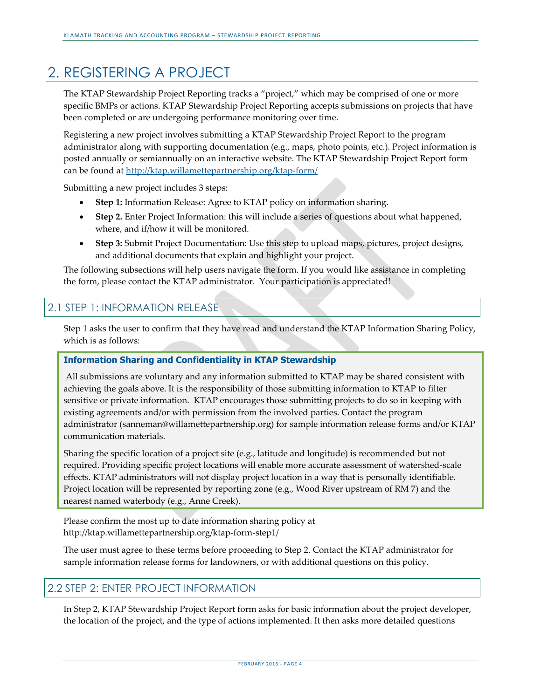## 2. REGISTERING A PROJECT

The KTAP Stewardship Project Reporting tracks a "project," which may be comprised of one or more specific BMPs or actions. KTAP Stewardship Project Reporting accepts submissions on projects that have been completed or are undergoing performance monitoring over time.

Registering a new project involves submitting a KTAP Stewardship Project Report to the program administrator along with supporting documentation (e.g., maps, photo points, etc.). Project information is posted annually or semiannually on an interactive website. The KTAP Stewardship Project Report form can be found a[t http://ktap.willamettepartnership.org/ktap-form/](http://ktap.willamettepartnership.org/ktap-form/)

Submitting a new project includes 3 steps:

- **Step 1:** Information Release: Agree to KTAP policy on information sharing.
- **Step 2.** Enter Project Information: this will include a series of questions about what happened, where, and if/how it will be monitored.
- **Step 3:** Submit Project Documentation: Use this step to upload maps, pictures, project designs, and additional documents that explain and highlight your project.

The following subsections will help users navigate the form. If you would like assistance in completing the form, please contact the KTAP administrator. Your participation is appreciated!

#### <span id="page-3-0"></span>2.1 STEP 1: INFORMATION RELEASE

Step 1 asks the user to confirm that they have read and understand the KTAP Information Sharing Policy, which is as follows:

#### **Information Sharing and Confidentiality in KTAP Stewardship**

All submissions are voluntary and any information submitted to KTAP may be shared consistent with achieving the goals above. It is the responsibility of those submitting information to KTAP to filter sensitive or private information. KTAP encourages those submitting projects to do so in keeping with existing agreements and/or with permission from the involved parties. Contact the program administrator (sanneman@willamettepartnership.org) for sample information release forms and/or KTAP communication materials.

Sharing the specific location of a project site (e.g., latitude and longitude) is recommended but not required. Providing specific project locations will enable more accurate assessment of watershed-scale effects. KTAP administrators will not display project location in a way that is personally identifiable. Project location will be represented by reporting zone (e.g., Wood River upstream of RM 7) and the nearest named waterbody (e.g., Anne Creek).

Please confirm the most up to date information sharing policy at http://ktap.willamettepartnership.org/ktap-form-step1/

The user must agree to these terms before proceeding to Step 2. Contact the KTAP administrator for sample information release forms for landowners, or with additional questions on this policy.

#### <span id="page-3-1"></span>2.2 STEP 2: ENTER PROJECT INFORMATION

In Step 2, KTAP Stewardship Project Report form asks for basic information about the project developer, the location of the project, and the type of actions implemented. It then asks more detailed questions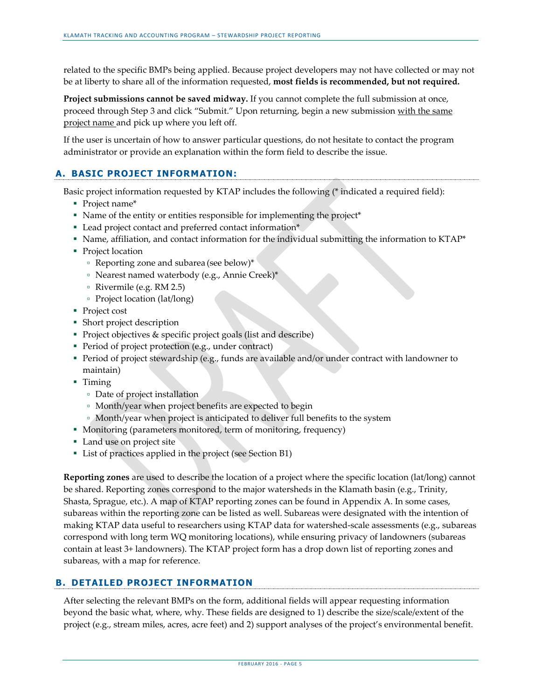related to the specific BMPs being applied. Because project developers may not have collected or may not be at liberty to share all of the information requested, **most fields is recommended, but not required.**

<span id="page-4-0"></span>**Project submissions cannot be saved midway.** If you cannot complete the full submission at once, proceed through Step 3 and click "Submit." Upon returning, begin a new submission with the same project name and pick up where you left off.

If the user is uncertain of how to answer particular questions, do not hesitate to contact the program administrator or provide an explanation within the form field to describe the issue.

#### **A. BASIC PROJECT INFORMATION:**

Basic project information requested by KTAP includes the following (\* indicated a required field):

- Project name\*
- Name of the entity or entities responsible for implementing the project\*
- Lead project contact and preferred contact information\*
- Name, affiliation, and contact information for the individual submitting the information to KTAP\*
- Project location
	- Reporting zone and subarea (see below)\*
	- Nearest named waterbody (e.g., Annie Creek)\*
	- Rivermile (e.g. RM 2.5)
	- Project location (lat/long)
- Project cost
- Short project description
- Project objectives & specific project goals (list and describe)
- Period of project protection (e.g., under contract)
- Period of project stewardship (e.g., funds are available and/or under contract with landowner to maintain)
- Timing
	- Date of project installation
	- Month/year when project benefits are expected to begin
	- Month/year when project is anticipated to deliver full benefits to the system
- Monitoring (parameters monitored, term of monitoring, frequency)
- Land use on project site
- List of practices applied in the project (see Section B1)

**Reporting zones** are used to describe the location of a project where the specific location (lat/long) cannot be shared. Reporting zones correspond to the major watersheds in the Klamath basin (e.g., Trinity, Shasta, Sprague, etc.). A map of KTAP reporting zones can be found in Appendix A. In some cases, subareas within the reporting zone can be listed as well. Subareas were designated with the intention of making KTAP data useful to researchers using KTAP data for watershed-scale assessments (e.g., subareas correspond with long term WQ monitoring locations), while ensuring privacy of landowners (subareas contain at least 3+ landowners). The KTAP project form has a drop down list of reporting zones and subareas, with a map for reference.

#### <span id="page-4-1"></span>**B. DETAILED PROJECT INFORMATION**

After selecting the relevant BMPs on the form, additional fields will appear requesting information beyond the basic what, where, why. These fields are designed to 1) describe the size/scale/extent of the project (e.g., stream miles, acres, acre feet) and 2) support analyses of the project's environmental benefit.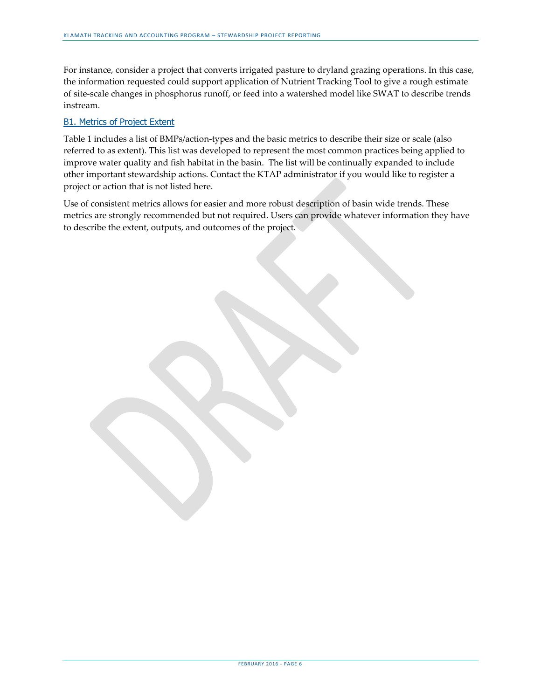For instance, consider a project that converts irrigated pasture to dryland grazing operations. In this case, the information requested could support application of Nutrient Tracking Tool to give a rough estimate of site-scale changes in phosphorus runoff, or feed into a watershed model like SWAT to describe trends instream.

#### B1. Metrics of Project Extent

Table 1 includes a list of BMPs/action-types and the basic metrics to describe their size or scale (also referred to as extent). This list was developed to represent the most common practices being applied to improve water quality and fish habitat in the basin. The list will be continually expanded to include other important stewardship actions. Contact the KTAP administrator if you would like to register a project or action that is not listed here.

Use of consistent metrics allows for easier and more robust description of basin wide trends. These metrics are strongly recommended but not required. Users can provide whatever information they have to describe the extent, outputs, and outcomes of the project.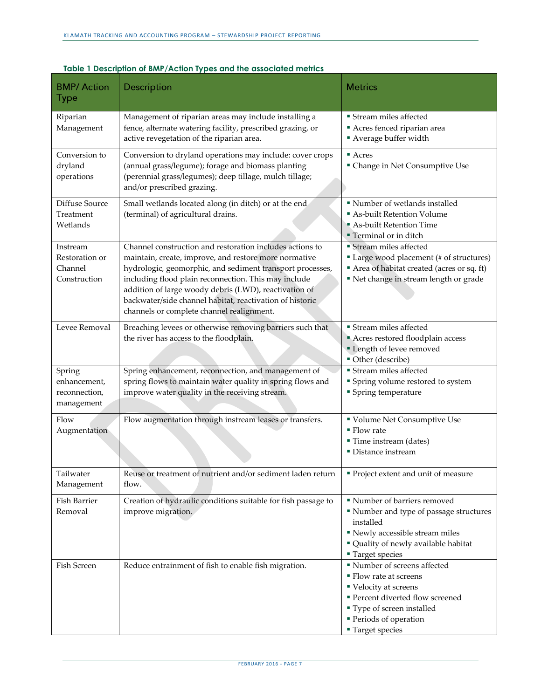| <b>BMP/Action</b><br><b>Type</b>                      | Description                                                                                                                                                                                                                                                                                                                                                                                              | <b>Metrics</b>                                                                                                                                                                                     |
|-------------------------------------------------------|----------------------------------------------------------------------------------------------------------------------------------------------------------------------------------------------------------------------------------------------------------------------------------------------------------------------------------------------------------------------------------------------------------|----------------------------------------------------------------------------------------------------------------------------------------------------------------------------------------------------|
| Riparian<br>Management                                | Management of riparian areas may include installing a<br>fence, alternate watering facility, prescribed grazing, or<br>active revegetation of the riparian area.                                                                                                                                                                                                                                         | <b>Stream miles affected</b><br>Acres fenced riparian area<br>Average buffer width                                                                                                                 |
| Conversion to<br>dryland<br>operations                | Conversion to dryland operations may include: cover crops<br>(annual grass/legume); forage and biomass planting<br>(perennial grass/legumes); deep tillage, mulch tillage;<br>and/or prescribed grazing.                                                                                                                                                                                                 | $\blacksquare$ Acres<br>" Change in Net Consumptive Use                                                                                                                                            |
| Diffuse Source<br>Treatment<br>Wetlands               | Small wetlands located along (in ditch) or at the end<br>(terminal) of agricultural drains.                                                                                                                                                                                                                                                                                                              | " Number of wetlands installed<br>As-built Retention Volume<br>As-built Retention Time<br><b>Terminal or in ditch</b>                                                                              |
| Instream<br>Restoration or<br>Channel<br>Construction | Channel construction and restoration includes actions to<br>maintain, create, improve, and restore more normative<br>hydrologic, geomorphic, and sediment transport processes,<br>including flood plain reconnection. This may include<br>addition of large woody debris (LWD), reactivation of<br>backwater/side channel habitat, reactivation of historic<br>channels or complete channel realignment. | Stream miles affected<br>Large wood placement (# of structures)<br>Area of habitat created (acres or sq. ft)<br>" Net change in stream length or grade                                             |
| Levee Removal                                         | Breaching levees or otherwise removing barriers such that<br>the river has access to the floodplain.                                                                                                                                                                                                                                                                                                     | <b>Stream miles affected</b><br>Acres restored floodplain access<br>" Length of levee removed<br>Other (describe)                                                                                  |
| Spring<br>enhancement,<br>reconnection,<br>management | Spring enhancement, reconnection, and management of<br>spring flows to maintain water quality in spring flows and<br>improve water quality in the receiving stream.                                                                                                                                                                                                                                      | <b>Stream miles affected</b><br>" Spring volume restored to system<br>• Spring temperature                                                                                                         |
| Flow<br>Augmentation                                  | Flow augmentation through instream leases or transfers.                                                                                                                                                                                                                                                                                                                                                  | " Volume Net Consumptive Use<br>$\blacksquare$ Flow rate<br>" Time instream (dates)<br>• Distance instream                                                                                         |
| Tailwater<br>Management                               | Reuse or treatment of nutrient and/or sediment laden return<br>flow.                                                                                                                                                                                                                                                                                                                                     | ■ Project extent and unit of measure                                                                                                                                                               |
| Fish Barrier<br>Removal                               | Creation of hydraulic conditions suitable for fish passage to<br>improve migration.                                                                                                                                                                                                                                                                                                                      | Number of barriers removed<br>" Number and type of passage structures<br>installed<br>" Newly accessible stream miles<br>" Quality of newly available habitat<br>■ Target species                  |
| Fish Screen                                           | Reduce entrainment of fish to enable fish migration.                                                                                                                                                                                                                                                                                                                                                     | " Number of screens affected<br>• Flow rate at screens<br>■ Velocity at screens<br>" Percent diverted flow screened<br>" Type of screen installed<br>Periods of operation<br><b>Target species</b> |

#### **Table 1 Description of BMP/Action Types and the associated metrics**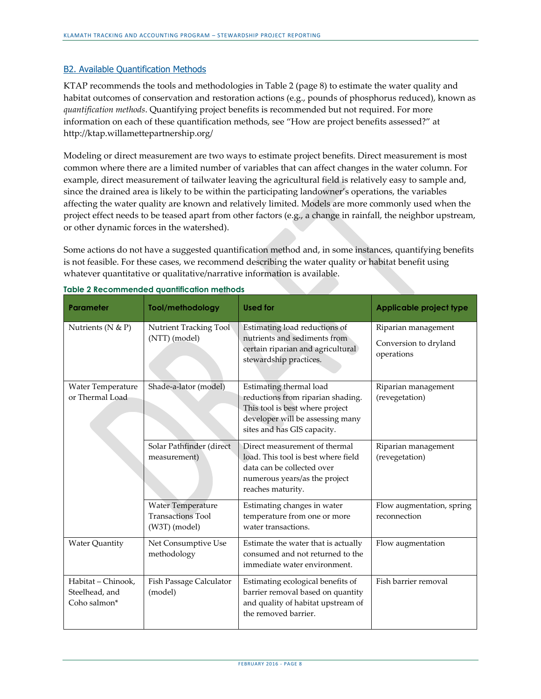#### B2. Available Quantification Methods

KTAP recommends the tools and methodologies in Table 2 (page 8) to estimate the water quality and habitat outcomes of conservation and restoration actions (e.g., pounds of phosphorus reduced), known as *quantification methods*. Quantifying project benefits is recommended but not required. For more information on each of these quantification methods, see "How are project benefits assessed?" at http://ktap.willamettepartnership.org/

Modeling or direct measurement are two ways to estimate project benefits. Direct measurement is most common where there are a limited number of variables that can affect changes in the water column. For example, direct measurement of tailwater leaving the agricultural field is relatively easy to sample and, since the drained area is likely to be within the participating landowner's operations, the variables affecting the water quality are known and relatively limited. Models are more commonly used when the project effect needs to be teased apart from other factors (e.g., a change in rainfall, the neighbor upstream, or other dynamic forces in the watershed).

Some actions do not have a suggested quantification method and, in some instances, quantifying benefits is not feasible. For these cases, we recommend describing the water quality or habitat benefit using whatever quantitative or qualitative/narrative information is available.

| <b>Parameter</b>                                     | Tool/methodology                                                      | <b>Used for</b>                                                                                                                                                    | <b>Applicable project type</b>                             |
|------------------------------------------------------|-----------------------------------------------------------------------|--------------------------------------------------------------------------------------------------------------------------------------------------------------------|------------------------------------------------------------|
| Nutrients ( $N & P$ )                                | Nutrient Tracking Tool<br>(NTT) (model)                               | Estimating load reductions of<br>nutrients and sediments from<br>certain riparian and agricultural<br>stewardship practices.                                       | Riparian management<br>Conversion to dryland<br>operations |
| Water Temperature<br>or Thermal Load                 | Shade-a-lator (model)                                                 | Estimating thermal load<br>reductions from riparian shading.<br>This tool is best where project<br>developer will be assessing many<br>sites and has GIS capacity. | Riparian management<br>(revegetation)                      |
|                                                      | Solar Pathfinder (direct<br>measurement)                              | Direct measurement of thermal<br>load. This tool is best where field<br>data can be collected over<br>numerous years/as the project<br>reaches maturity.           | Riparian management<br>(revegetation)                      |
|                                                      | <b>Water Temperature</b><br><b>Transactions Tool</b><br>(W3T) (model) | Estimating changes in water<br>temperature from one or more<br>water transactions.                                                                                 | Flow augmentation, spring<br>reconnection                  |
| <b>Water Quantity</b>                                | Net Consumptive Use<br>methodology                                    | Estimate the water that is actually<br>consumed and not returned to the<br>immediate water environment.                                                            | Flow augmentation                                          |
| Habitat - Chinook,<br>Steelhead, and<br>Coho salmon* | Fish Passage Calculator<br>(model)                                    | Estimating ecological benefits of<br>barrier removal based on quantity<br>and quality of habitat upstream of<br>the removed barrier.                               | Fish barrier removal                                       |

**Table 2 Recommended quantification methods**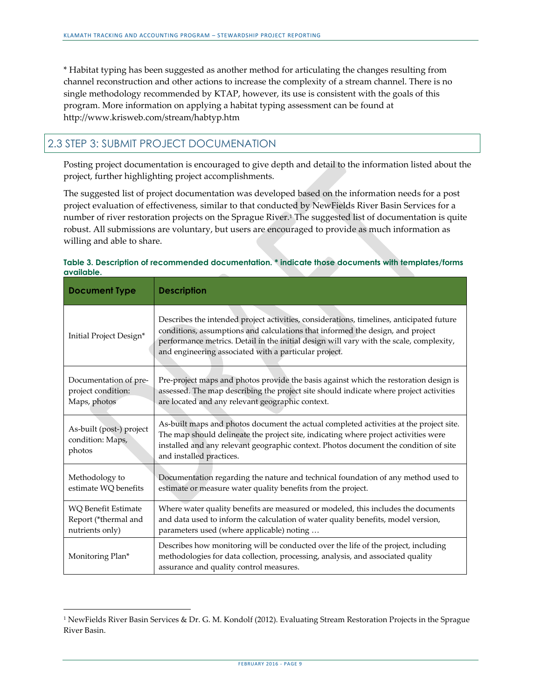\* Habitat typing has been suggested as another method for articulating the changes resulting from channel reconstruction and other actions to increase the complexity of a stream channel. There is no single methodology recommended by KTAP, however, its use is consistent with the goals of this program. More information on applying a habitat typing assessment can be found at http://www.krisweb.com/stream/habtyp.htm

#### <span id="page-8-0"></span>2.3 STEP 3: SUBMIT PROJECT DOCUMENATION

1

Posting project documentation is encouraged to give depth and detail to the information listed about the project, further highlighting project accomplishments.

The suggested list of project documentation was developed based on the information needs for a post project evaluation of effectiveness, similar to that conducted by NewFields River Basin Services for a number of river restoration projects on the Sprague River. <sup>1</sup> The suggested list of documentation is quite robust. All submissions are voluntary, but users are encouraged to provide as much information as willing and able to share.

|            | Table 3. Description of recommended documentation, * indicate those documents with templates/forms |  |  |
|------------|----------------------------------------------------------------------------------------------------|--|--|
| available. |                                                                                                    |  |  |

| <b>Document Type</b>                                                  | <b>Description</b>                                                                                                                                                                                                                                                                                                             |
|-----------------------------------------------------------------------|--------------------------------------------------------------------------------------------------------------------------------------------------------------------------------------------------------------------------------------------------------------------------------------------------------------------------------|
| Initial Project Design*                                               | Describes the intended project activities, considerations, timelines, anticipated future<br>conditions, assumptions and calculations that informed the design, and project<br>performance metrics. Detail in the initial design will vary with the scale, complexity,<br>and engineering associated with a particular project. |
| Documentation of pre-<br>project condition:<br>Maps, photos           | Pre-project maps and photos provide the basis against which the restoration design is<br>assessed. The map describing the project site should indicate where project activities<br>are located and any relevant geographic context.                                                                                            |
| As-built (post-) project<br>condition: Maps,<br>photos                | As-built maps and photos document the actual completed activities at the project site.<br>The map should delineate the project site, indicating where project activities were<br>installed and any relevant geographic context. Photos document the condition of site<br>and installed practices.                              |
| Methodology to<br>estimate WQ benefits                                | Documentation regarding the nature and technical foundation of any method used to<br>estimate or measure water quality benefits from the project.                                                                                                                                                                              |
| <b>WO Benefit Estimate</b><br>Report (*thermal and<br>nutrients only) | Where water quality benefits are measured or modeled, this includes the documents<br>and data used to inform the calculation of water quality benefits, model version,<br>parameters used (where applicable) noting                                                                                                            |
| Monitoring Plan*                                                      | Describes how monitoring will be conducted over the life of the project, including<br>methodologies for data collection, processing, analysis, and associated quality<br>assurance and quality control measures.                                                                                                               |

<sup>&</sup>lt;sup>1</sup> NewFields River Basin Services & Dr. G. M. Kondolf (2012). Evaluating Stream Restoration Projects in the Sprague River Basin.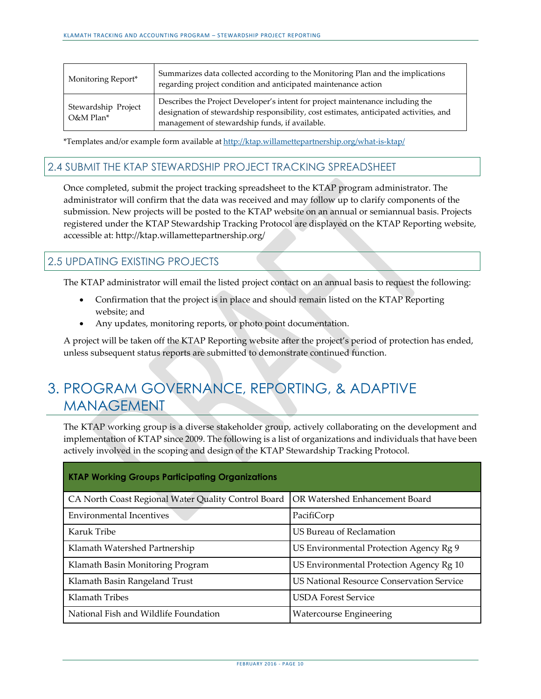| Monitoring Report*                             | Summarizes data collected according to the Monitoring Plan and the implications<br>regarding project condition and anticipated maintenance action                                                                          |
|------------------------------------------------|----------------------------------------------------------------------------------------------------------------------------------------------------------------------------------------------------------------------------|
| Stewardship Project<br>$O&M$ Plan <sup>*</sup> | Describes the Project Developer's intent for project maintenance including the<br>designation of stewardship responsibility, cost estimates, anticipated activities, and<br>management of stewardship funds, if available. |

\*Templates and/or example form available at <http://ktap.willamettepartnership.org/what-is-ktap/>

#### <span id="page-9-0"></span>2.4 SUBMIT THE KTAP STEWARDSHIP PROJECT TRACKING SPREADSHEET

Once completed, submit the project tracking spreadsheet to the KTAP program administrator. The administrator will confirm that the data was received and may follow up to clarify components of the submission. New projects will be posted to the KTAP website on an annual or semiannual basis. Projects registered under the KTAP Stewardship Tracking Protocol are displayed on the KTAP Reporting website, accessible at: http://ktap.willamettepartnership.org/

#### <span id="page-9-1"></span>2.5 UPDATING EXISTING PROJECTS

The KTAP administrator will email the listed project contact on an annual basis to request the following:

- Confirmation that the project is in place and should remain listed on the KTAP Reporting website; and
- Any updates, monitoring reports, or photo point documentation.

A project will be taken off the KTAP Reporting website after the project's period of protection has ended, unless subsequent status reports are submitted to demonstrate continued function.

### 3. PROGRAM GOVERNANCE, REPORTING, & ADAPTIVE MANAGEMENT

The KTAP working group is a diverse stakeholder group, actively collaborating on the development and implementation of KTAP since 2009. The following is a list of organizations and individuals that have been actively involved in the scoping and design of the KTAP Stewardship Tracking Protocol.

| <b>KTAP Working Groups Participating Organizations</b> |                                                  |
|--------------------------------------------------------|--------------------------------------------------|
| CA North Coast Regional Water Quality Control Board    | OR Watershed Enhancement Board                   |
| <b>Environmental Incentives</b>                        | PacifiCorp                                       |
| Karuk Tribe                                            | US Bureau of Reclamation                         |
| Klamath Watershed Partnership                          | US Environmental Protection Agency Rg 9          |
| Klamath Basin Monitoring Program                       | US Environmental Protection Agency Rg 10         |
| Klamath Basin Rangeland Trust                          | <b>US National Resource Conservation Service</b> |
| Klamath Tribes                                         | <b>USDA Forest Service</b>                       |
| National Fish and Wildlife Foundation                  | <b>Watercourse Engineering</b>                   |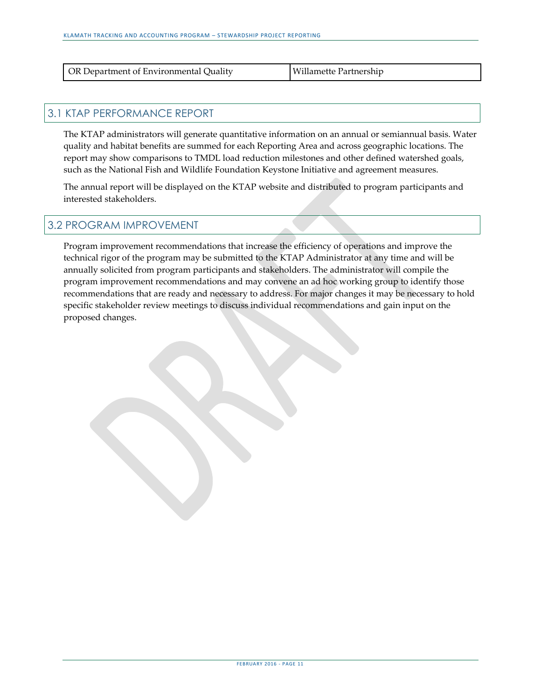| <b>OR Department of Environmental Quality</b> | Willamette Partnership |
|-----------------------------------------------|------------------------|
|                                               |                        |

#### <span id="page-10-0"></span>3.1 KTAP PERFORMANCE REPORT

The KTAP administrators will generate quantitative information on an annual or semiannual basis. Water quality and habitat benefits are summed for each Reporting Area and across geographic locations. The report may show comparisons to TMDL load reduction milestones and other defined watershed goals, such as the National Fish and Wildlife Foundation Keystone Initiative and agreement measures.

The annual report will be displayed on the KTAP website and distributed to program participants and interested stakeholders.

#### <span id="page-10-1"></span>3.2 PROGRAM IMPROVEMENT

Program improvement recommendations that increase the efficiency of operations and improve the technical rigor of the program may be submitted to the KTAP Administrator at any time and will be annually solicited from program participants and stakeholders. The administrator will compile the program improvement recommendations and may convene an ad hoc working group to identify those recommendations that are ready and necessary to address. For major changes it may be necessary to hold specific stakeholder review meetings to discuss individual recommendations and gain input on the proposed changes.